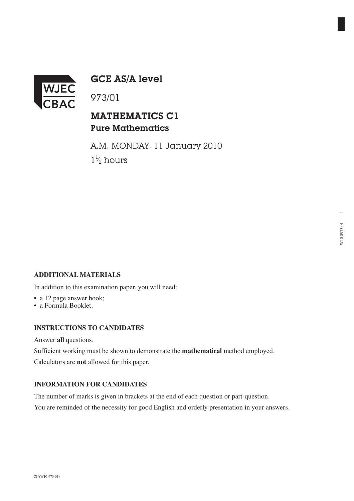

GCE AS/A level

# MATHEMATICS C1 Pure Mathematics

A.M. MONDAY, 11 January 2010  $1\frac{1}{2}$  hours ⁄

## **ADDITIONAL MATERIALS**

In addition to this examination paper, you will need:

- a 12 page answer book;
- a Formula Booklet.

#### **INSTRUCTIONS TO CANDIDATES**

Answer **all** questions.

Sufficient working must be shown to demonstrate the **mathematical** method employed.

Calculators are **not** allowed for this paper.

## **INFORMATION FOR CANDIDATES**

The number of marks is given in brackets at the end of each question or part-question. You are reminded of the necessity for good English and orderly presentation in your answers.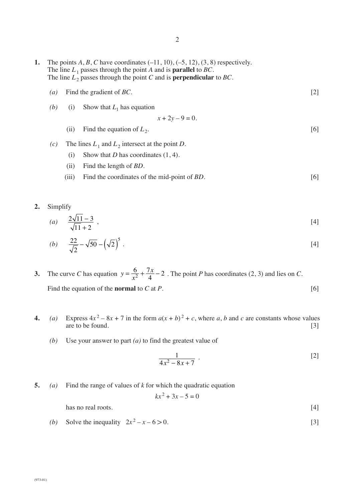- **1.** The points *A*, *B*, *C* have coordinates (–11, 10), (–5, 12), (3, 8) respectively. The line  $L_1$  passes through the point *A* and is **parallel** to *BC*. The line  $L_2$  passes through the point *C* and is **perpendicular** to *BC*.
	- *(a)* Find the gradient of *BC*. [2]
	- *(b)* (i) Show that  $L_1$  has equation

$$
x + 2y - 9 = 0.
$$

- (ii) Find the equation of  $L_2$ . [6]
- *(c)* The lines  $L_1$  and  $L_2$  intersect at the point *D*.
	- (i) Show that *D* has coordinates  $(1, 4)$ .
	- (ii) Find the length of *BD*.
	- (iii) Find the coordinates of the mid-point of *BD*. [6]
- **2.** Simplify

(a) 
$$
\frac{2\sqrt{11}-3}{\sqrt{11}+2}
$$
, [4]

(b) 
$$
\frac{22}{\sqrt{2}} - \sqrt{50} - (\sqrt{2})^5
$$
 (4)

- **3.** The curve *C* has equation  $y = \frac{0}{x^2} + \frac{7x}{4} 2$ . The point *P* has coordinates (2, 3) and lies on *C*. Find the equation of the **normal** to *C* at *P*. [6]  $=\frac{6}{x^2} + \frac{7x}{4} - 2$
- **4.** *(a)* Express  $4x^2 8x + 7$  in the form  $a(x + b)^2 + c$ , where *a*, *b* and *c* are constants whose values are to be found. [3]
	- *(b)* Use your answer to part *(a)* to find the greatest value of

$$
\frac{1}{4x^2 - 8x + 7}
$$
 (2)

**5.** *(a)* Find the range of values of *k* for which the quadratic equation

$$
kx^2 + 3x - 5 = 0
$$

has no real roots. [4]

*(b)* Solve the inequality  $2x^2 - x - 6 > 0$ . [3]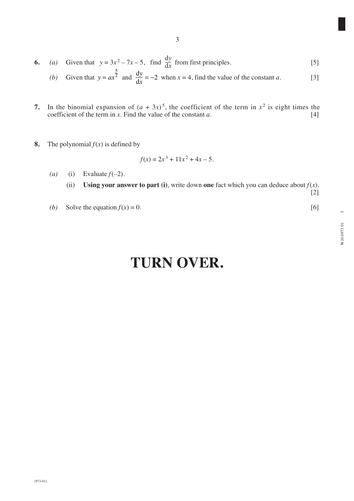3

d

- **7.** In the binomial expansion of  $(a + 3x)^5$ , the coefficient of the term in  $x^2$  is eight times the coefficient of the term in *x*. Find the value of the constant *a*. [4]
- **8.** The polynomial  $f(x)$  is defined by

$$
f(x) = 2x^3 + 11x^2 + 4x - 5.
$$

(a) (i) Evaluate  $f(-2)$ .

(ii) Using your answer to part (i), write down one fact which you can deduce about  $f(x)$ . [2]

*(b)* Solve the equation  $f(x) = 0$ . [6]

# **TURN OVER.**

 $\infty$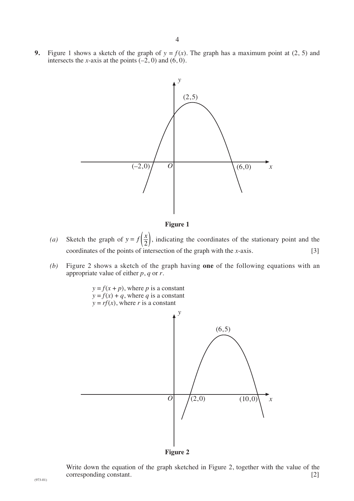**9.** Figure 1 shows a sketch of the graph of  $y = f(x)$ . The graph has a maximum point at (2, 5) and intersects the *x*-axis at the points  $(-2, 0)$  and  $(6, 0)$ .



**Figure 1**

- (*a*) Sketch the graph of  $y = f\left(\frac{x}{2}\right)$ , indicating the coordinates of the stationary point and the coordinates of the points of intersection of the graph with the *x*-axis. [3]
- *(b)* Figure 2 shows a sketch of the graph having **one** of the following equations with an appropriate value of either *p*, *q* or *r*.



**Figure 2**

Write down the equation of the graph sketched in Figure 2, together with the value of the corresponding constant. [2]